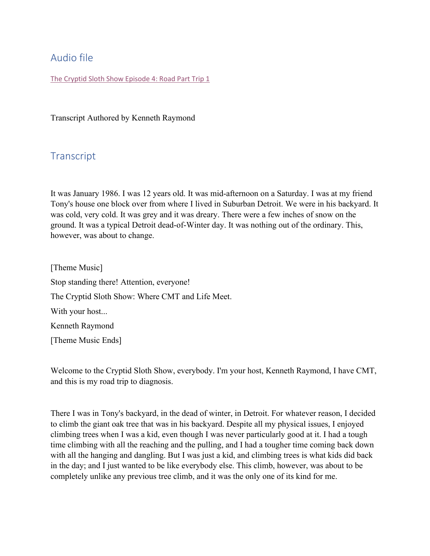# Audio file

The Cryptid Sloth Show [Episode 4: Road Part Trip 1](https://www.buzzsprout.com/1550245/8065518-ep-4-road-trip-part-1.mp3?blob_id=36258456&download=true)

Transcript Authored by Kenneth Raymond

## **Transcript**

It was January 1986. I was 12 years old. It was mid-afternoon on a Saturday. I was at my friend Tony's house one block over from where I lived in Suburban Detroit. We were in his backyard. It was cold, very cold. It was grey and it was dreary. There were a few inches of snow on the ground. It was a typical Detroit dead-of-Winter day. It was nothing out of the ordinary. This, however, was about to change.

[Theme Music] Stop standing there! Attention, everyone! The Cryptid Sloth Show: Where CMT and Life Meet. With your host... Kenneth Raymond [Theme Music Ends]

Welcome to the Cryptid Sloth Show, everybody. I'm your host, Kenneth Raymond, I have CMT, and this is my road trip to diagnosis.

There I was in Tony's backyard, in the dead of winter, in Detroit. For whatever reason, I decided to climb the giant oak tree that was in his backyard. Despite all my physical issues, I enjoyed climbing trees when I was a kid, even though I was never particularly good at it. I had a tough time climbing with all the reaching and the pulling, and I had a tougher time coming back down with all the hanging and dangling. But I was just a kid, and climbing trees is what kids did back in the day; and I just wanted to be like everybody else. This climb, however, was about to be completely unlike any previous tree climb, and it was the only one of its kind for me.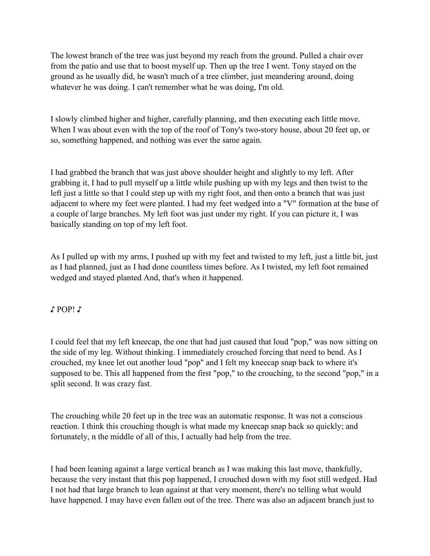The lowest branch of the tree was just beyond my reach from the ground. Pulled a chair over from the patio and use that to boost myself up. Then up the tree I went. Tony stayed on the ground as he usually did, he wasn't much of a tree climber, just meandering around, doing whatever he was doing. I can't remember what he was doing, I'm old.

I slowly climbed higher and higher, carefully planning, and then executing each little move. When I was about even with the top of the roof of Tony's two-story house, about 20 feet up, or so, something happened, and nothing was ever the same again.

I had grabbed the branch that was just above shoulder height and slightly to my left. After grabbing it, I had to pull myself up a little while pushing up with my legs and then twist to the left just a little so that I could step up with my right foot, and then onto a branch that was just adjacent to where my feet were planted. I had my feet wedged into a "V" formation at the base of a couple of large branches. My left foot was just under my right. If you can picture it, I was basically standing on top of my left foot.

As I pulled up with my arms, I pushed up with my feet and twisted to my left, just a little bit, just as I had planned, just as I had done countless times before. As I twisted, my left foot remained wedged and stayed planted And, that's when it happened.

### ♪ POP! ♪

I could feel that my left kneecap, the one that had just caused that loud "pop," was now sitting on the side of my leg. Without thinking. I immediately crouched forcing that need to bend. As I crouched, my knee let out another loud "pop" and I felt my kneecap snap back to where it's supposed to be. This all happened from the first "pop," to the crouching, to the second "pop," in a split second. It was crazy fast.

The crouching while 20 feet up in the tree was an automatic response. It was not a conscious reaction. I think this crouching though is what made my kneecap snap back so quickly; and fortunately, n the middle of all of this, I actually had help from the tree.

I had been leaning against a large vertical branch as I was making this last move, thankfully, because the very instant that this pop happened, I crouched down with my foot still wedged. Had I not had that large branch to lean against at that very moment, there's no telling what would have happened. I may have even fallen out of the tree. There was also an adjacent branch just to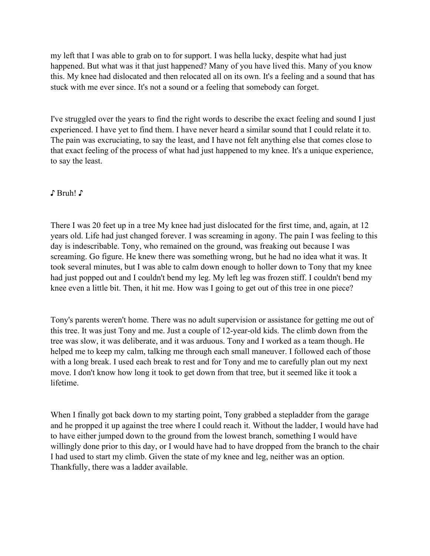my left that I was able to grab on to for support. I was hella lucky, despite what had just happened. But what was it that just happened? Many of you have lived this. Many of you know this. My knee had dislocated and then relocated all on its own. It's a feeling and a sound that has stuck with me ever since. It's not a sound or a feeling that somebody can forget.

I've struggled over the years to find the right words to describe the exact feeling and sound I just experienced. I have yet to find them. I have never heard a similar sound that I could relate it to. The pain was excruciating, to say the least, and I have not felt anything else that comes close to that exact feeling of the process of what had just happened to my knee. It's a unique experience, to say the least.

#### ♪ Bruh! ♪

There I was 20 feet up in a tree My knee had just dislocated for the first time, and, again, at 12 years old. Life had just changed forever. I was screaming in agony. The pain I was feeling to this day is indescribable. Tony, who remained on the ground, was freaking out because I was screaming. Go figure. He knew there was something wrong, but he had no idea what it was. It took several minutes, but I was able to calm down enough to holler down to Tony that my knee had just popped out and I couldn't bend my leg. My left leg was frozen stiff. I couldn't bend my knee even a little bit. Then, it hit me. How was I going to get out of this tree in one piece?

Tony's parents weren't home. There was no adult supervision or assistance for getting me out of this tree. It was just Tony and me. Just a couple of 12-year-old kids. The climb down from the tree was slow, it was deliberate, and it was arduous. Tony and I worked as a team though. He helped me to keep my calm, talking me through each small maneuver. I followed each of those with a long break. I used each break to rest and for Tony and me to carefully plan out my next move. I don't know how long it took to get down from that tree, but it seemed like it took a lifetime.

When I finally got back down to my starting point, Tony grabbed a stepladder from the garage and he propped it up against the tree where I could reach it. Without the ladder, I would have had to have either jumped down to the ground from the lowest branch, something I would have willingly done prior to this day, or I would have had to have dropped from the branch to the chair I had used to start my climb. Given the state of my knee and leg, neither was an option. Thankfully, there was a ladder available.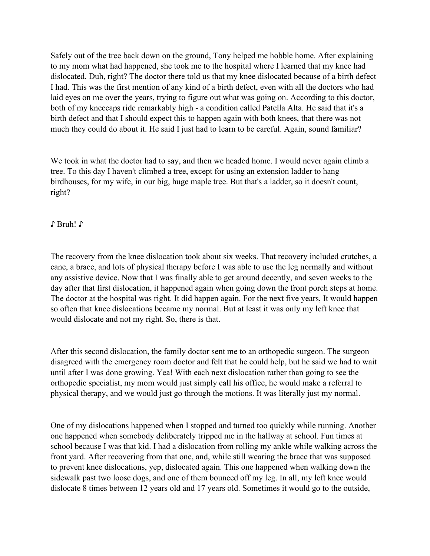Safely out of the tree back down on the ground, Tony helped me hobble home. After explaining to my mom what had happened, she took me to the hospital where I learned that my knee had dislocated. Duh, right? The doctor there told us that my knee dislocated because of a birth defect I had. This was the first mention of any kind of a birth defect, even with all the doctors who had laid eyes on me over the years, trying to figure out what was going on. According to this doctor, both of my kneecaps ride remarkably high - a condition called Patella Alta. He said that it's a birth defect and that I should expect this to happen again with both knees, that there was not much they could do about it. He said I just had to learn to be careful. Again, sound familiar?

We took in what the doctor had to say, and then we headed home. I would never again climb a tree. To this day I haven't climbed a tree, except for using an extension ladder to hang birdhouses, for my wife, in our big, huge maple tree. But that's a ladder, so it doesn't count, right?

♪ Bruh! ♪

The recovery from the knee dislocation took about six weeks. That recovery included crutches, a cane, a brace, and lots of physical therapy before I was able to use the leg normally and without any assistive device. Now that I was finally able to get around decently, and seven weeks to the day after that first dislocation, it happened again when going down the front porch steps at home. The doctor at the hospital was right. It did happen again. For the next five years, It would happen so often that knee dislocations became my normal. But at least it was only my left knee that would dislocate and not my right. So, there is that.

After this second dislocation, the family doctor sent me to an orthopedic surgeon. The surgeon disagreed with the emergency room doctor and felt that he could help, but he said we had to wait until after I was done growing. Yea! With each next dislocation rather than going to see the orthopedic specialist, my mom would just simply call his office, he would make a referral to physical therapy, and we would just go through the motions. It was literally just my normal.

One of my dislocations happened when I stopped and turned too quickly while running. Another one happened when somebody deliberately tripped me in the hallway at school. Fun times at school because I was that kid. I had a dislocation from rolling my ankle while walking across the front yard. After recovering from that one, and, while still wearing the brace that was supposed to prevent knee dislocations, yep, dislocated again. This one happened when walking down the sidewalk past two loose dogs, and one of them bounced off my leg. In all, my left knee would dislocate 8 times between 12 years old and 17 years old. Sometimes it would go to the outside,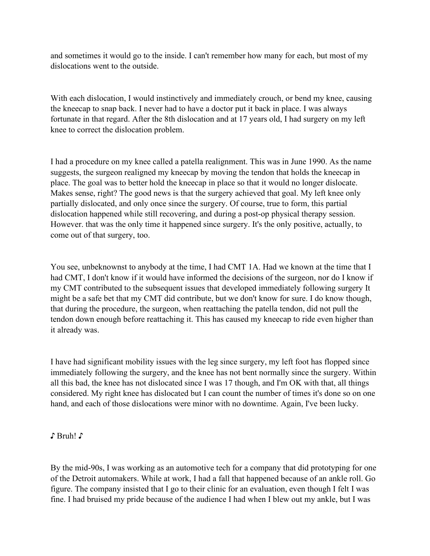and sometimes it would go to the inside. I can't remember how many for each, but most of my dislocations went to the outside.

With each dislocation, I would instinctively and immediately crouch, or bend my knee, causing the kneecap to snap back. I never had to have a doctor put it back in place. I was always fortunate in that regard. After the 8th dislocation and at 17 years old, I had surgery on my left knee to correct the dislocation problem.

I had a procedure on my knee called a patella realignment. This was in June 1990. As the name suggests, the surgeon realigned my kneecap by moving the tendon that holds the kneecap in place. The goal was to better hold the kneecap in place so that it would no longer dislocate. Makes sense, right? The good news is that the surgery achieved that goal. My left knee only partially dislocated, and only once since the surgery. Of course, true to form, this partial dislocation happened while still recovering, and during a post-op physical therapy session. However. that was the only time it happened since surgery. It's the only positive, actually, to come out of that surgery, too.

You see, unbeknownst to anybody at the time, I had CMT 1A. Had we known at the time that I had CMT, I don't know if it would have informed the decisions of the surgeon, nor do I know if my CMT contributed to the subsequent issues that developed immediately following surgery It might be a safe bet that my CMT did contribute, but we don't know for sure. I do know though, that during the procedure, the surgeon, when reattaching the patella tendon, did not pull the tendon down enough before reattaching it. This has caused my kneecap to ride even higher than it already was.

I have had significant mobility issues with the leg since surgery, my left foot has flopped since immediately following the surgery, and the knee has not bent normally since the surgery. Within all this bad, the knee has not dislocated since I was 17 though, and I'm OK with that, all things considered. My right knee has dislocated but I can count the number of times it's done so on one hand, and each of those dislocations were minor with no downtime. Again, I've been lucky.

### ♪ Bruh! ♪

By the mid-90s, I was working as an automotive tech for a company that did prototyping for one of the Detroit automakers. While at work, I had a fall that happened because of an ankle roll. Go figure. The company insisted that I go to their clinic for an evaluation, even though I felt I was fine. I had bruised my pride because of the audience I had when I blew out my ankle, but I was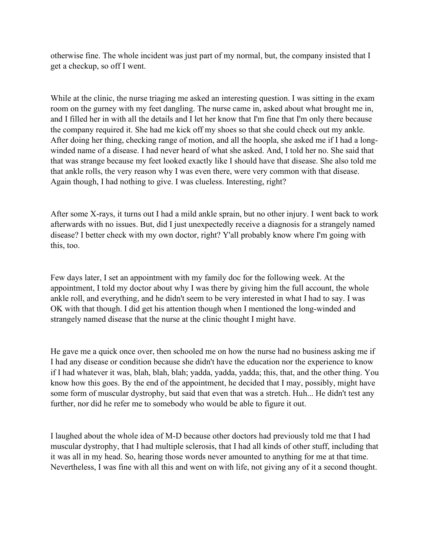otherwise fine. The whole incident was just part of my normal, but, the company insisted that I get a checkup, so off I went.

While at the clinic, the nurse triaging me asked an interesting question. I was sitting in the exam room on the gurney with my feet dangling. The nurse came in, asked about what brought me in, and I filled her in with all the details and I let her know that I'm fine that I'm only there because the company required it. She had me kick off my shoes so that she could check out my ankle. After doing her thing, checking range of motion, and all the hoopla, she asked me if I had a longwinded name of a disease. I had never heard of what she asked. And, I told her no. She said that that was strange because my feet looked exactly like I should have that disease. She also told me that ankle rolls, the very reason why I was even there, were very common with that disease. Again though, I had nothing to give. I was clueless. Interesting, right?

After some X-rays, it turns out I had a mild ankle sprain, but no other injury. I went back to work afterwards with no issues. But, did I just unexpectedly receive a diagnosis for a strangely named disease? I better check with my own doctor, right? Y'all probably know where I'm going with this, too.

Few days later, I set an appointment with my family doc for the following week. At the appointment, I told my doctor about why I was there by giving him the full account, the whole ankle roll, and everything, and he didn't seem to be very interested in what I had to say. I was OK with that though. I did get his attention though when I mentioned the long-winded and strangely named disease that the nurse at the clinic thought I might have.

He gave me a quick once over, then schooled me on how the nurse had no business asking me if I had any disease or condition because she didn't have the education nor the experience to know if I had whatever it was, blah, blah, blah; yadda, yadda, yadda; this, that, and the other thing. You know how this goes. By the end of the appointment, he decided that I may, possibly, might have some form of muscular dystrophy, but said that even that was a stretch. Huh... He didn't test any further, nor did he refer me to somebody who would be able to figure it out.

I laughed about the whole idea of M-D because other doctors had previously told me that I had muscular dystrophy, that I had multiple sclerosis, that I had all kinds of other stuff, including that it was all in my head. So, hearing those words never amounted to anything for me at that time. Nevertheless, I was fine with all this and went on with life, not giving any of it a second thought.